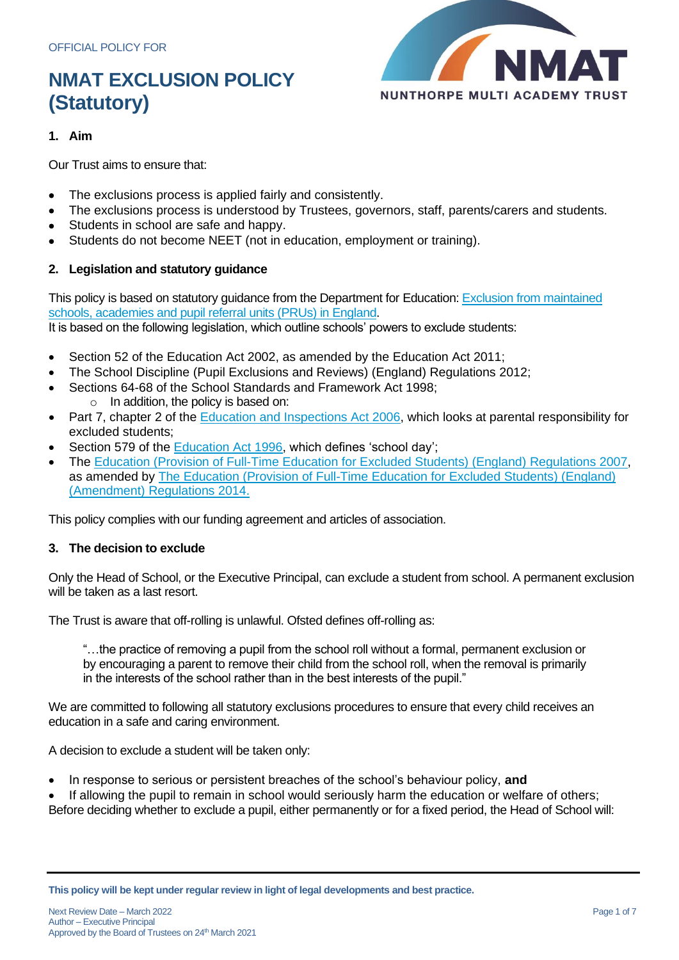

## **1. Aim**

Our Trust aims to ensure that:

- The exclusions process is applied fairly and consistently.
- The exclusions process is understood by Trustees, governors, staff, parents/carers and students.
- Students in school are safe and happy.
- Students do not become NEET (not in education, employment or training).

## **2. Legislation and statutory guidance**

This policy is based on statutory guidance from the Department for Education: [Exclusion from maintained](https://www.gov.uk/government/publications/school-exclusion)  [schools, academies and pupil referral units \(PRUs\) in England.](https://www.gov.uk/government/publications/school-exclusion)

It is based on the following legislation, which outline schools' powers to exclude students:

- Section 52 of the [Education Act 2002,](http://www.legislation.gov.uk/ukpga/2002/32/section/52) as amended by the [Education Act 2011;](http://www.legislation.gov.uk/ukpga/2011/21/contents/enacted)
- [The School Discipline \(Pupil Exclusions and Reviews\) \(England\) Regulations 2012;](http://www.legislation.gov.uk/uksi/2012/1033/made)
- Sections 64-68 of the [School Standards and Framework Act 1998;](http://www.legislation.gov.uk/ukpga/1998/31) o In addition, the policy is based on:
- Part 7, chapter 2 of the **Education and Inspections Act 2006**, which looks at parental responsibility for excluded students;
- Section 579 of the [Education Act 1996,](http://www.legislation.gov.uk/ukpga/1996/56/section/579) which defines 'school day';
- The [Education \(Provision of Full-Time Education for Excluded Students\) \(England\) Regulations 2007,](http://www.legislation.gov.uk/uksi/2007/1870/contents/made) as amended by [The Education \(Provision of Full-Time Education for Excluded Students\) \(England\)](http://www.legislation.gov.uk/uksi/2014/3216/contents/made)  [\(Amendment\) Regulations 2014.](http://www.legislation.gov.uk/uksi/2014/3216/contents/made)

This policy complies with our funding agreement and articles of association.

## **3. The decision to exclude**

Only the Head of School, or the Executive Principal, can exclude a student from school. A permanent exclusion will be taken as a last resort.

The Trust is aware that off-rolling is unlawful. Ofsted defines off-rolling as:

"…the practice of removing a pupil from the school roll without a formal, permanent exclusion or by encouraging a parent to remove their child from the school roll, when the removal is primarily in the interests of the school rather than in the best interests of the pupil."

We are committed to following all statutory exclusions procedures to ensure that every child receives an education in a safe and caring environment.

A decision to exclude a student will be taken only:

- In response to serious or persistent breaches of the school's behaviour policy, **and**
- If allowing the pupil to remain in school would seriously harm the education or welfare of others; Before deciding whether to exclude a pupil, either permanently or for a fixed period, the Head of School will:

**This policy will be kept under regular review in light of legal developments and best practice.**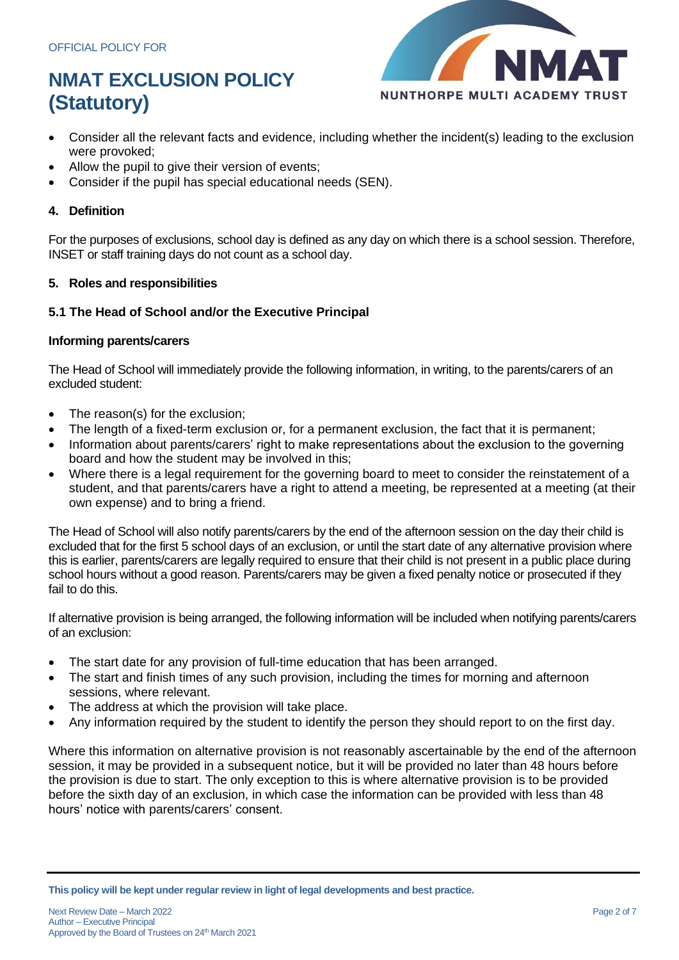

- Consider all the relevant facts and evidence, including whether the incident(s) leading to the exclusion were provoked;
- Allow the pupil to give their version of events;
- Consider if the pupil has special educational needs (SEN).

## **4. Definition**

For the purposes of exclusions, school day is defined as any day on which there is a school session. Therefore, INSET or staff training days do not count as a school day.

## **5. Roles and responsibilities**

## **5.1 The Head of School and/or the Executive Principal**

### **Informing parents/carers**

The Head of School will immediately provide the following information, in writing, to the parents/carers of an excluded student:

- The reason(s) for the exclusion;
- The length of a fixed-term exclusion or, for a permanent exclusion, the fact that it is permanent;
- Information about parents/carers' right to make representations about the exclusion to the governing board and how the student may be involved in this;
- Where there is a legal requirement for the governing board to meet to consider the reinstatement of a student, and that parents/carers have a right to attend a meeting, be represented at a meeting (at their own expense) and to bring a friend.

The Head of School will also notify parents/carers by the end of the afternoon session on the day their child is excluded that for the first 5 school days of an exclusion, or until the start date of any alternative provision where this is earlier, parents/carers are legally required to ensure that their child is not present in a public place during school hours without a good reason. Parents/carers may be given a fixed penalty notice or prosecuted if they fail to do this.

If alternative provision is being arranged, the following information will be included when notifying parents/carers of an exclusion:

- The start date for any provision of full-time education that has been arranged.
- The start and finish times of any such provision, including the times for morning and afternoon sessions, where relevant.
- The address at which the provision will take place.
- Any information required by the student to identify the person they should report to on the first day.

Where this information on alternative provision is not reasonably ascertainable by the end of the afternoon session, it may be provided in a subsequent notice, but it will be provided no later than 48 hours before the provision is due to start. The only exception to this is where alternative provision is to be provided before the sixth day of an exclusion, in which case the information can be provided with less than 48 hours' notice with parents/carers' consent.

**This policy will be kept under regular review in light of legal developments and best practice.**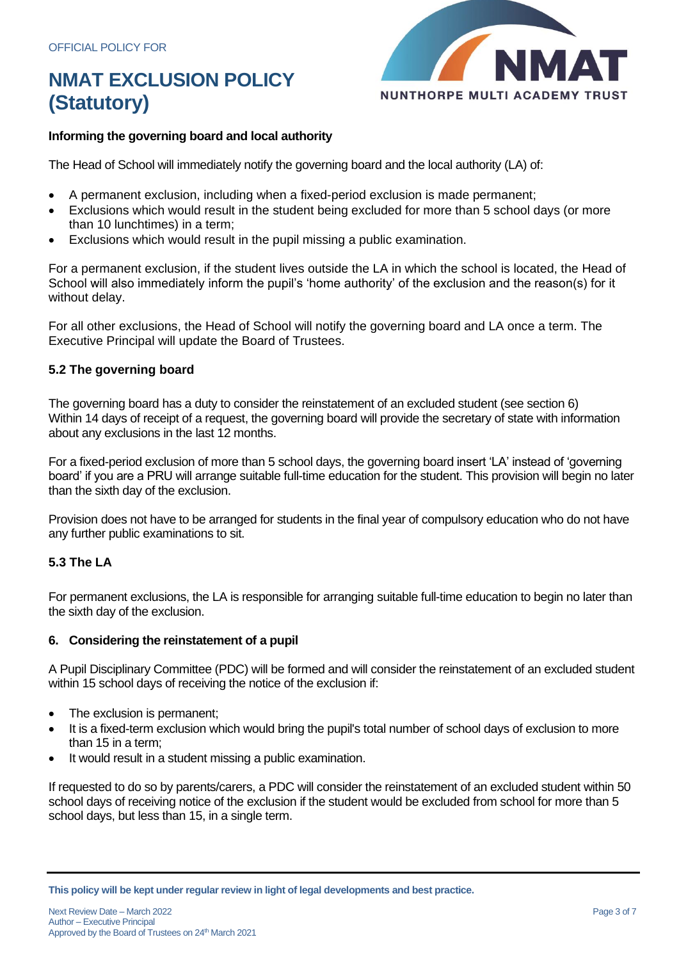

## **Informing the governing board and local authority**

The Head of School will immediately notify the governing board and the local authority (LA) of:

- A permanent exclusion, including when a fixed-period exclusion is made permanent;
- Exclusions which would result in the student being excluded for more than 5 school days (or more than 10 lunchtimes) in a term;
- Exclusions which would result in the pupil missing a public examination.

For a permanent exclusion, if the student lives outside the LA in which the school is located, the Head of School will also immediately inform the pupil's 'home authority' of the exclusion and the reason(s) for it without delay.

For all other exclusions, the Head of School will notify the governing board and LA once a term. The Executive Principal will update the Board of Trustees.

## **5.2 The governing board**

The governing board has a duty to consider the reinstatement of an excluded student (see section 6) Within 14 days of receipt of a request, the governing board will provide the secretary of state with information about any exclusions in the last 12 months.

For a fixed-period exclusion of more than 5 school days, the governing board insert 'LA' instead of 'governing board' if you are a PRU will arrange suitable full-time education for the student. This provision will begin no later than the sixth day of the exclusion.

Provision does not have to be arranged for students in the final year of compulsory education who do not have any further public examinations to sit.

## **5.3 The LA**

For permanent exclusions, the LA is responsible for arranging suitable full-time education to begin no later than the sixth day of the exclusion.

## **6. Considering the reinstatement of a pupil**

A Pupil Disciplinary Committee (PDC) will be formed and will consider the reinstatement of an excluded student within 15 school days of receiving the notice of the exclusion if:

- The exclusion is permanent;
- It is a fixed-term exclusion which would bring the pupil's total number of school days of exclusion to more than 15 in a term;
- It would result in a student missing a public examination.

If requested to do so by parents/carers, a PDC will consider the reinstatement of an excluded student within 50 school days of receiving notice of the exclusion if the student would be excluded from school for more than 5 school days, but less than 15, in a single term.

**This policy will be kept under regular review in light of legal developments and best practice.**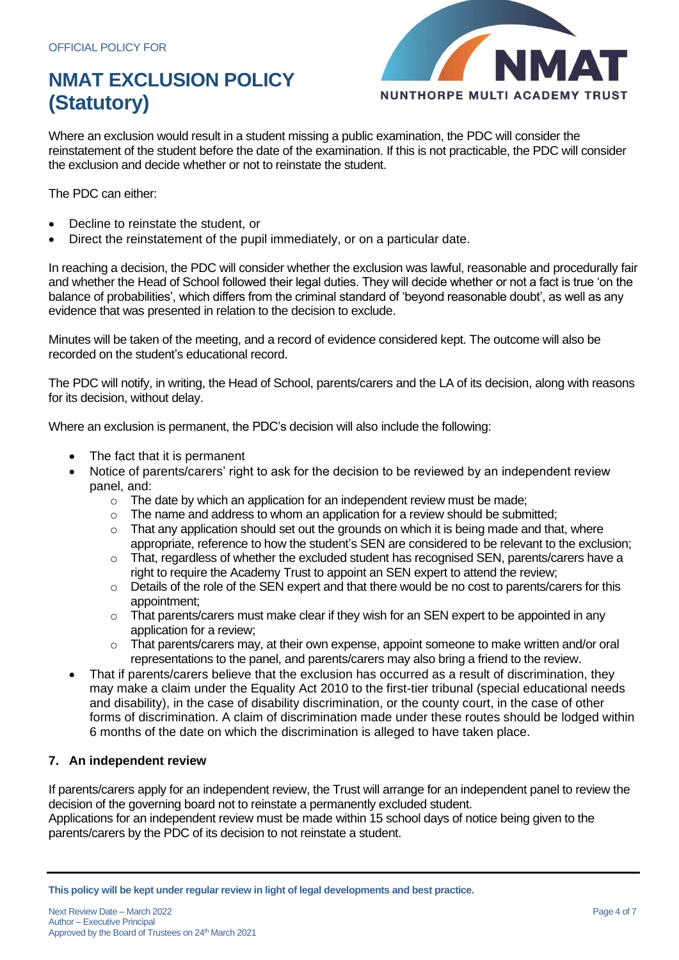

Where an exclusion would result in a student missing a public examination, the PDC will consider the reinstatement of the student before the date of the examination. If this is not practicable, the PDC will consider the exclusion and decide whether or not to reinstate the student.

The PDC can either:

- Decline to reinstate the student, or
- Direct the reinstatement of the pupil immediately, or on a particular date.

In reaching a decision, the PDC will consider whether the exclusion was lawful, reasonable and procedurally fair and whether the Head of School followed their legal duties. They will decide whether or not a fact is true 'on the balance of probabilities', which differs from the criminal standard of 'beyond reasonable doubt', as well as any evidence that was presented in relation to the decision to exclude.

Minutes will be taken of the meeting, and a record of evidence considered kept. The outcome will also be recorded on the student's educational record.

The PDC will notify, in writing, the Head of School, parents/carers and the LA of its decision, along with reasons for its decision, without delay.

Where an exclusion is permanent, the PDC's decision will also include the following:

- The fact that it is permanent
- Notice of parents/carers' right to ask for the decision to be reviewed by an independent review panel, and:
	- o The date by which an application for an independent review must be made;
	- $\circ$  The name and address to whom an application for a review should be submitted;
	- o That any application should set out the grounds on which it is being made and that, where appropriate, reference to how the student's SEN are considered to be relevant to the exclusion;
	- $\circ$  That, regardless of whether the excluded student has recognised SEN, parents/carers have a right to require the Academy Trust to appoint an SEN expert to attend the review;
	- o Details of the role of the SEN expert and that there would be no cost to parents/carers for this appointment;
	- o That parents/carers must make clear if they wish for an SEN expert to be appointed in any application for a review;
	- $\circ$  That parents/carers may, at their own expense, appoint someone to make written and/or oral representations to the panel, and parents/carers may also bring a friend to the review.
- That if parents/carers believe that the exclusion has occurred as a result of discrimination, they may make a claim under the Equality Act 2010 to the first-tier tribunal (special educational needs and disability), in the case of disability discrimination, or the county court, in the case of other forms of discrimination. A claim of discrimination made under these routes should be lodged within 6 months of the date on which the discrimination is alleged to have taken place.

## **7. An independent review**

If parents/carers apply for an independent review, the Trust will arrange for an independent panel to review the decision of the governing board not to reinstate a permanently excluded student.

Applications for an independent review must be made within 15 school days of notice being given to the parents/carers by the PDC of its decision to not reinstate a student.

**This policy will be kept under regular review in light of legal developments and best practice.**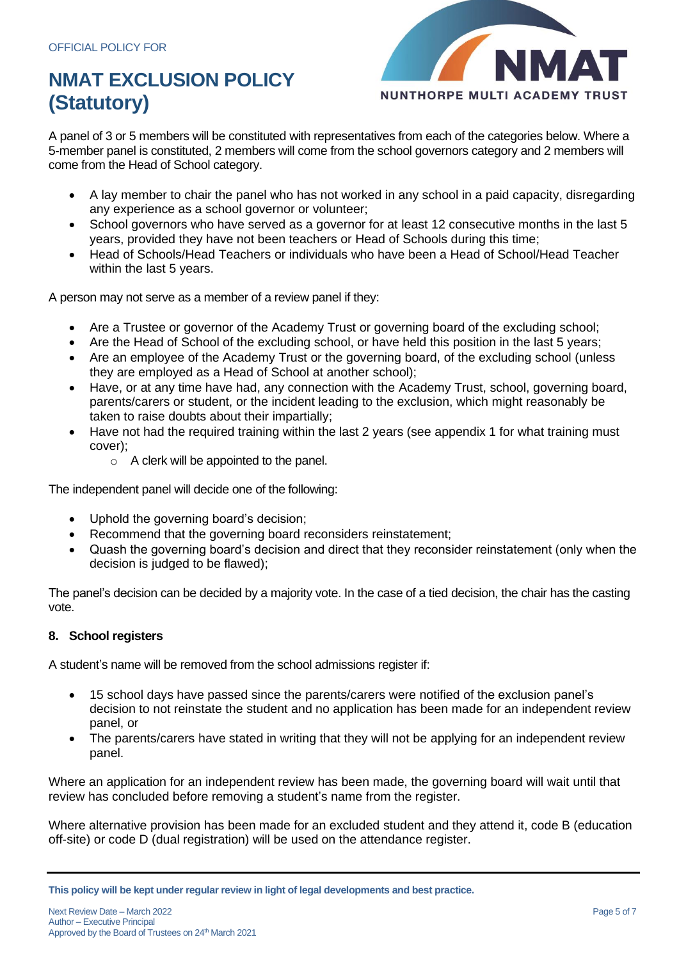

A panel of 3 or 5 members will be constituted with representatives from each of the categories below. Where a 5-member panel is constituted, 2 members will come from the school governors category and 2 members will come from the Head of School category.

- A lay member to chair the panel who has not worked in any school in a paid capacity, disregarding any experience as a school governor or volunteer;
- School governors who have served as a governor for at least 12 consecutive months in the last 5 years, provided they have not been teachers or Head of Schools during this time;
- Head of Schools/Head Teachers or individuals who have been a Head of School/Head Teacher within the last 5 years.

A person may not serve as a member of a review panel if they:

- Are a Trustee or governor of the Academy Trust or governing board of the excluding school;
- Are the Head of School of the excluding school, or have held this position in the last 5 years;
- Are an employee of the Academy Trust or the governing board, of the excluding school (unless they are employed as a Head of School at another school);
- Have, or at any time have had, any connection with the Academy Trust, school, governing board, parents/carers or student, or the incident leading to the exclusion, which might reasonably be taken to raise doubts about their impartially;
- Have not had the required training within the last 2 years (see appendix 1 for what training must cover);
	- $\circ$  A clerk will be appointed to the panel.

The independent panel will decide one of the following:

- Uphold the governing board's decision;
- Recommend that the governing board reconsiders reinstatement;
- Quash the governing board's decision and direct that they reconsider reinstatement (only when the decision is judged to be flawed);

The panel's decision can be decided by a majority vote. In the case of a tied decision, the chair has the casting vote.

#### **8. School registers**

A student's name will be removed from the school admissions register if:

- 15 school days have passed since the parents/carers were notified of the exclusion panel's decision to not reinstate the student and no application has been made for an independent review panel, or
- The parents/carers have stated in writing that they will not be applying for an independent review panel.

Where an application for an independent review has been made, the governing board will wait until that review has concluded before removing a student's name from the register.

Where alternative provision has been made for an excluded student and they attend it, code B (education off-site) or code D (dual registration) will be used on the attendance register.

**This policy will be kept under regular review in light of legal developments and best practice.**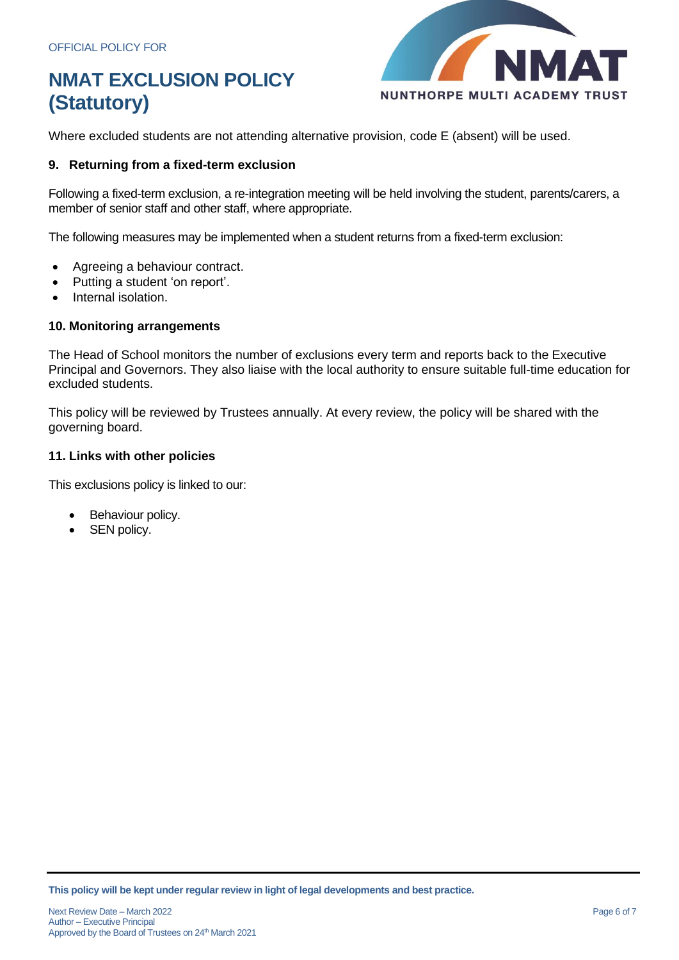

Where excluded students are not attending alternative provision, code E (absent) will be used.

### **9. Returning from a fixed-term exclusion**

Following a fixed-term exclusion, a re-integration meeting will be held involving the student, parents/carers, a member of senior staff and other staff, where appropriate.

The following measures may be implemented when a student returns from a fixed-term exclusion:

- Agreeing a behaviour contract.
- Putting a student 'on report'.
- Internal isolation.

### **10. Monitoring arrangements**

The Head of School monitors the number of exclusions every term and reports back to the Executive Principal and Governors. They also liaise with the local authority to ensure suitable full-time education for excluded students.

This policy will be reviewed by Trustees annually. At every review, the policy will be shared with the governing board.

#### **11. Links with other policies**

This exclusions policy is linked to our:

- Behaviour policy.
- SEN policy.

**This policy will be kept under regular review in light of legal developments and best practice.**